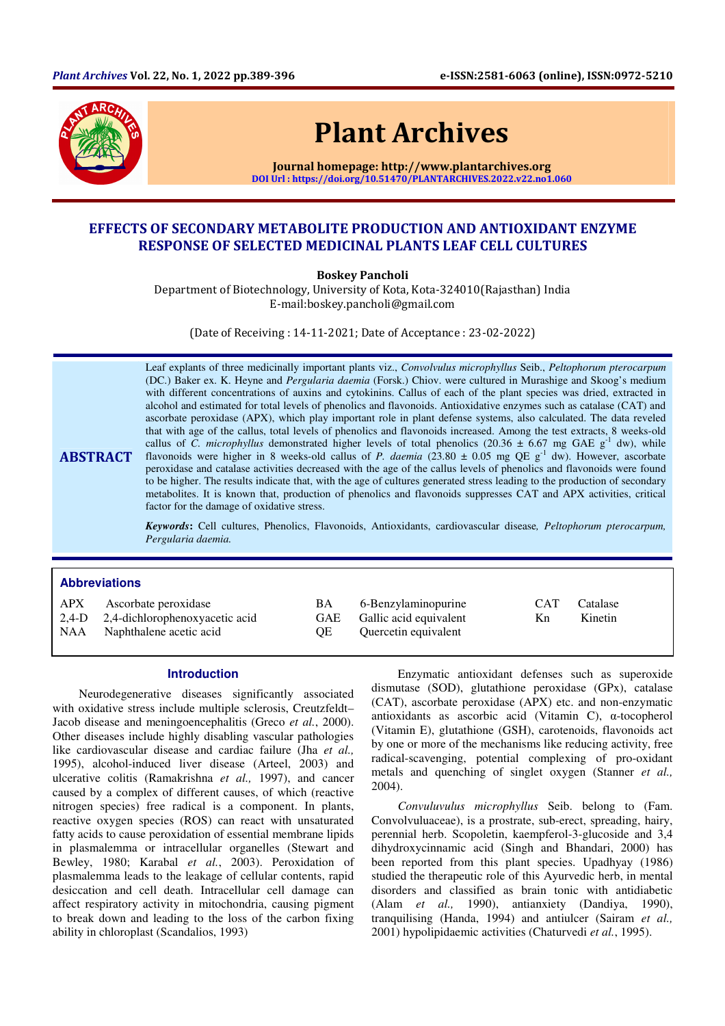

# Plant Archives

Journal homepage: http://www.plantarchives.org DOI Url : https://doi.org/10.51470/PLANTARCHIVES.2022.v22.no1.060

## EFFECTS OF SECONDARY METABOLITE PRODUCTION AND ANTIOXIDANT ENZYME RESPONSE OF SELECTED MEDICINAL PLANTS LEAF CELL CULTURES

Boskey Pancholi

Department of Biotechnology, University of Kota, Kota-324010(Rajasthan) India E-mail:boskey.pancholi@gmail.com

(Date of Receiving : 14-11-2021; Date of Acceptance : 23-02-2022)

ABSTRACT Leaf explants of three medicinally important plants viz., *Convolvulus microphyllus* Seib., *Peltophorum pterocarpum* (DC.) Baker ex. K. Heyne and *Pergularia daemia* (Forsk.) Chiov. were cultured in Murashige and Skoog's medium with different concentrations of auxins and cytokinins. Callus of each of the plant species was dried, extracted in alcohol and estimated for total levels of phenolics and flavonoids. Antioxidative enzymes such as catalase (CAT) and ascorbate peroxidase (APX), which play important role in plant defense systems, also calculated. The data reveled that with age of the callus, total levels of phenolics and flavonoids increased. Among the test extracts, 8 weeks-old callus of *C. microphyllus* demonstrated higher levels of total phenolics (20.36  $\pm$  6.67 mg GAE g<sup>-1</sup> dw), while flavonoids were higher in 8 weeks-old callus of *P. daemia* (23.80 ± 0.05 mg QE g<sup>-1</sup> dw). However, ascorbate peroxidase and catalase activities decreased with the age of the callus levels of phenolics and flavonoids were found to be higher. The results indicate that, with the age of cultures generated stress leading to the production of secondary metabolites. It is known that, production of phenolics and flavonoids suppresses CAT and APX activities, critical factor for the damage of oxidative stress.

> *Keywords***:** Cell cultures, Phenolics, Flavonoids, Antioxidants, cardiovascular disease*, Peltophorum pterocarpum, Pergularia daemia.*

## **Abbreviations**

| APX<br>NAA | Ascorbate peroxidase<br>2,4-D 2,4-dichlorophenoxyacetic acid<br>Naphthalene acetic acid | BA<br>OE. | 6-Benzylaminopurine<br>GAE Gallic acid equivalent<br>Quercetin equivalent | <b>CAT</b><br>Kn. | Catalase<br>Kinetin |  |
|------------|-----------------------------------------------------------------------------------------|-----------|---------------------------------------------------------------------------|-------------------|---------------------|--|
|------------|-----------------------------------------------------------------------------------------|-----------|---------------------------------------------------------------------------|-------------------|---------------------|--|

#### **Introduction**

Neurodegenerative diseases significantly associated with oxidative stress include multiple sclerosis, Creutzfeldt– Jacob disease and meningoencephalitis (Greco *et al.*, 2000). Other diseases include highly disabling vascular pathologies like cardiovascular disease and cardiac failure (Jha *et al.,* 1995), alcohol-induced liver disease (Arteel, 2003) and ulcerative colitis (Ramakrishna *et al.,* 1997), and cancer caused by a complex of different causes, of which (reactive nitrogen species) free radical is a component. In plants, reactive oxygen species (ROS) can react with unsaturated fatty acids to cause peroxidation of essential membrane lipids in plasmalemma or intracellular organelles (Stewart and Bewley, 1980; Karabal *et al.*, 2003). Peroxidation of plasmalemma leads to the leakage of cellular contents, rapid desiccation and cell death. Intracellular cell damage can affect respiratory activity in mitochondria, causing pigment to break down and leading to the loss of the carbon fixing ability in chloroplast (Scandalios, 1993)

Enzymatic antioxidant defenses such as superoxide dismutase (SOD), glutathione peroxidase (GPx), catalase (CAT), ascorbate peroxidase (APX) etc. and non-enzymatic antioxidants as ascorbic acid (Vitamin C), α-tocopherol (Vitamin E), glutathione (GSH), carotenoids, flavonoids act by one or more of the mechanisms like reducing activity, free radical-scavenging, potential complexing of pro-oxidant metals and quenching of singlet oxygen (Stanner *et al.,* 2004).

*Convuluvulus microphyllus* Seib. belong to (Fam. Convolvuluaceae), is a prostrate, sub-erect, spreading, hairy, perennial herb. Scopoletin, kaempferol-3-glucoside and 3,4 dihydroxycinnamic acid (Singh and Bhandari, 2000) has been reported from this plant species. Upadhyay (1986) studied the therapeutic role of this Ayurvedic herb, in mental disorders and classified as brain tonic with antidiabetic (Alam *et al.,* 1990), antianxiety (Dandiya, 1990), tranquilising (Handa, 1994) and antiulcer (Sairam *et al.,*  2001) hypolipidaemic activities (Chaturvedi *et al.*, 1995).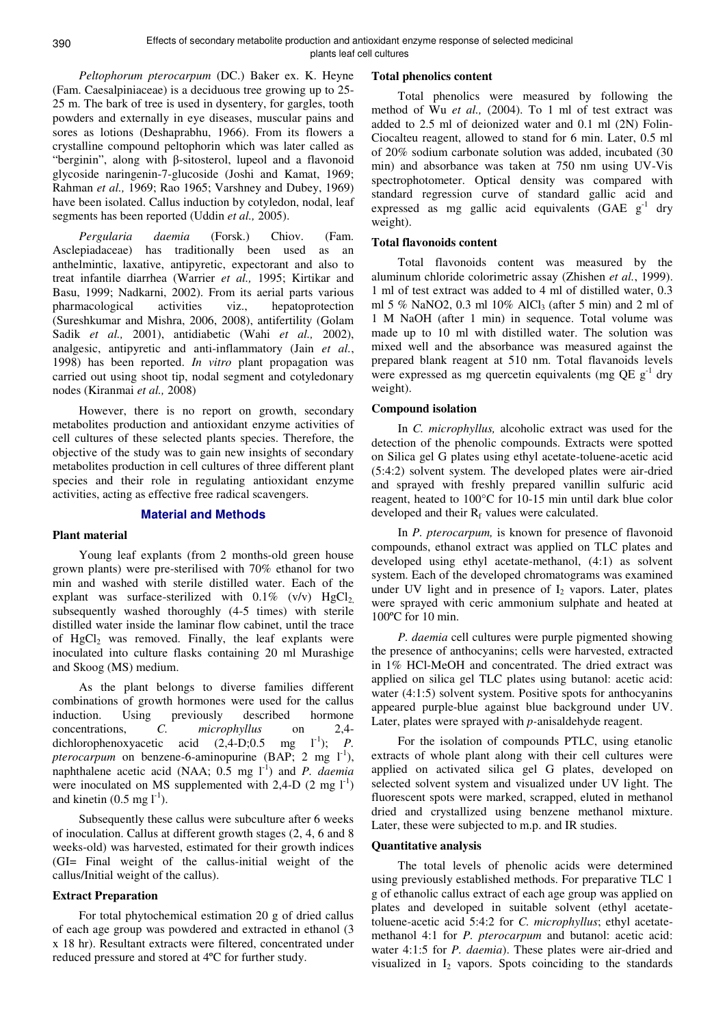*Peltophorum pterocarpum* (DC.) Baker ex. K. Heyne (Fam. Caesalpiniaceae) is a deciduous tree growing up to 25- 25 m. The bark of tree is used in dysentery, for gargles, tooth powders and externally in eye diseases, muscular pains and sores as lotions (Deshaprabhu, 1966). From its flowers a crystalline compound peltophorin which was later called as "berginin", along with β-sitosterol, lupeol and a flavonoid glycoside naringenin-7-glucoside (Joshi and Kamat, 1969; Rahman *et al.,* 1969; Rao 1965; Varshney and Dubey, 1969) have been isolated. Callus induction by cotyledon, nodal, leaf segments has been reported (Uddin *et al.,* 2005).

*Pergularia daemia* (Forsk.) Chiov. (Fam. Asclepiadaceae) has traditionally been used as an anthelmintic, laxative, antipyretic, expectorant and also to treat infantile diarrhea (Warrier *et al.,* 1995; Kirtikar and Basu, 1999; Nadkarni, 2002). From its aerial parts various pharmacological activities viz., hepatoprotection (Sureshkumar and Mishra, 2006, 2008), antifertility (Golam Sadik *et al.,* 2001), antidiabetic (Wahi *et al.,* 2002), analgesic, antipyretic and anti-inflammatory (Jain *et al.*, 1998) has been reported. *In vitro* plant propagation was carried out using shoot tip, nodal segment and cotyledonary nodes (Kiranmai *et al.,* 2008)

However, there is no report on growth, secondary metabolites production and antioxidant enzyme activities of cell cultures of these selected plants species. Therefore, the objective of the study was to gain new insights of secondary metabolites production in cell cultures of three different plant species and their role in regulating antioxidant enzyme activities, acting as effective free radical scavengers.

#### **Material and Methods**

#### **Plant material**

Young leaf explants (from 2 months-old green house grown plants) were pre-sterilised with 70% ethanol for two min and washed with sterile distilled water. Each of the explant was surface-sterilized with  $0.1\%$  (v/v)  $HgCl<sub>2</sub>$ , subsequently washed thoroughly (4-5 times) with sterile distilled water inside the laminar flow cabinet, until the trace of  $HgCl<sub>2</sub>$  was removed. Finally, the leaf explants were inoculated into culture flasks containing 20 ml Murashige and Skoog (MS) medium.

As the plant belongs to diverse families different combinations of growth hormones were used for the callus induction. Using previously described hormone<br>concentrations.  $C = microbvllus$  on 2.4concentrations, *C. microphyllus* on 2,4-<br>dichlorophenoxyacetic acid (2,4-D;0.5 mg 1<sup>-1</sup>); *P.* dichlorophenoxyacetic acid  $(2,4-D; 0.5 \text{ mg})$ *pterocarpum* on benzene-6-aminopurine (BAP; 2 mg  $1^{-1}$ ), naphthalene acetic acid (NAA;  $0.5 \text{ mg } l^{-1}$ ) and *P. daemia* were inoculated on MS supplemented with 2,4-D  $(2 \text{ mg } l^{\text{-}1})$ and kinetin  $(0.5 \text{ mg l}^{-1})$ .

Subsequently these callus were subculture after 6 weeks of inoculation. Callus at different growth stages (2, 4, 6 and 8 weeks-old) was harvested, estimated for their growth indices (GI= Final weight of the callus-initial weight of the callus/Initial weight of the callus).

#### **Extract Preparation**

For total phytochemical estimation 20 g of dried callus of each age group was powdered and extracted in ethanol (3 x 18 hr). Resultant extracts were filtered, concentrated under reduced pressure and stored at 4ºC for further study.

#### **Total phenolics content**

Total phenolics were measured by following the method of Wu *et al.,* (2004). To 1 ml of test extract was added to 2.5 ml of deionized water and 0.1 ml (2N) Folin-Ciocalteu reagent, allowed to stand for 6 min. Later, 0.5 ml of 20% sodium carbonate solution was added, incubated (30 min) and absorbance was taken at 750 nm using UV-Vis spectrophotometer. Optical density was compared with standard regression curve of standard gallic acid and expressed as mg gallic acid equivalents (GAE  $g^{-1}$  dry weight).

#### **Total flavonoids content**

Total flavonoids content was measured by the aluminum chloride colorimetric assay (Zhishen *et al.*, 1999). 1 ml of test extract was added to 4 ml of distilled water, 0.3 ml 5 % NaNO2, 0.3 ml  $10\%$  AlCl<sub>3</sub> (after 5 min) and 2 ml of 1 M NaOH (after 1 min) in sequence. Total volume was made up to 10 ml with distilled water. The solution was mixed well and the absorbance was measured against the prepared blank reagent at 510 nm. Total flavanoids levels were expressed as mg quercetin equivalents (mg  $QE$  g<sup>-1</sup> dry weight).

#### **Compound isolation**

In *C. microphyllus,* alcoholic extract was used for the detection of the phenolic compounds. Extracts were spotted on Silica gel G plates using ethyl acetate-toluene-acetic acid (5:4:2) solvent system. The developed plates were air-dried and sprayed with freshly prepared vanillin sulfuric acid reagent, heated to 100°C for 10-15 min until dark blue color developed and their  $R_f$  values were calculated.

In *P. pterocarpum,* is known for presence of flavonoid compounds, ethanol extract was applied on TLC plates and developed using ethyl acetate-methanol, (4:1) as solvent system. Each of the developed chromatograms was examined under UV light and in presence of  $I_2$  vapors. Later, plates were sprayed with ceric ammonium sulphate and heated at 100ºC for 10 min.

*P. daemia* cell cultures were purple pigmented showing the presence of anthocyanins; cells were harvested, extracted in 1% HCl-MeOH and concentrated. The dried extract was applied on silica gel TLC plates using butanol: acetic acid: water  $(4:1:5)$  solvent system. Positive spots for anthocyanins appeared purple-blue against blue background under UV. Later, plates were sprayed with *p-*anisaldehyde reagent.

For the isolation of compounds PTLC, using etanolic extracts of whole plant along with their cell cultures were applied on activated silica gel G plates, developed on selected solvent system and visualized under UV light. The fluorescent spots were marked, scrapped, eluted in methanol dried and crystallized using benzene methanol mixture. Later, these were subjected to m.p. and IR studies.

#### **Quantitative analysis**

The total levels of phenolic acids were determined using previously established methods. For preparative TLC 1 g of ethanolic callus extract of each age group was applied on plates and developed in suitable solvent (ethyl acetatetoluene-acetic acid 5:4:2 for *C. microphyllus*; ethyl acetatemethanol 4:1 for *P. pterocarpum* and butanol: acetic acid: water 4:1:5 for *P. daemia*). These plates were air-dried and visualized in  $I_2$  vapors. Spots coinciding to the standards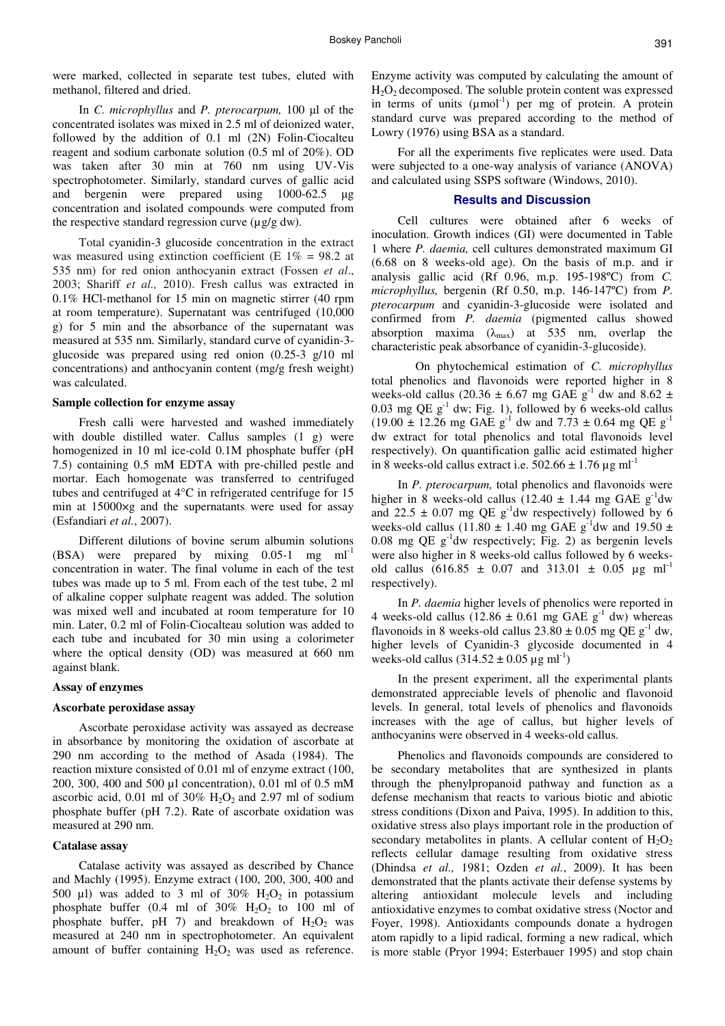were marked, collected in separate test tubes, eluted with methanol, filtered and dried.

In *C. microphyllus* and *P. pterocarpum,* 100 µl of the concentrated isolates was mixed in 2.5 ml of deionized water, followed by the addition of 0.1 ml (2N) Folin-Ciocalteu reagent and sodium carbonate solution (0.5 ml of 20%). OD was taken after 30 min at 760 nm using UV-Vis spectrophotometer. Similarly, standard curves of gallic acid and bergenin were prepared using 1000-62.5 µg concentration and isolated compounds were computed from the respective standard regression curve  $(\mu g/g dw)$ .

Total cyanidin-3 glucoside concentration in the extract was measured using extinction coefficient (E  $1\% = 98.2$  at 535 nm) for red onion anthocyanin extract (Fossen *et al*., 2003; Shariff *et al.,* 2010). Fresh callus was extracted in 0.1% HCl-methanol for 15 min on magnetic stirrer (40 rpm at room temperature). Supernatant was centrifuged (10,000 g) for 5 min and the absorbance of the supernatant was measured at 535 nm. Similarly, standard curve of cyanidin-3 glucoside was prepared using red onion (0.25-3 g/10 ml concentrations) and anthocyanin content (mg/g fresh weight) was calculated.

#### **Sample collection for enzyme assay**

Fresh calli were harvested and washed immediately with double distilled water. Callus samples (1 g) were homogenized in 10 ml ice-cold 0.1M phosphate buffer (pH 7.5) containing 0.5 mM EDTA with pre-chilled pestle and mortar. Each homogenate was transferred to centrifuged tubes and centrifuged at 4°C in refrigerated centrifuge for 15 min at 15000×g and the supernatants were used for assay (Esfandiari *et al.*, 2007).

Different dilutions of bovine serum albumin solutions  $(BSA)$  were prepared by mixing 0.05-1 mg ml<sup>-1</sup> concentration in water. The final volume in each of the test tubes was made up to 5 ml. From each of the test tube, 2 ml of alkaline copper sulphate reagent was added. The solution was mixed well and incubated at room temperature for 10 min. Later, 0.2 ml of Folin-Ciocalteau solution was added to each tube and incubated for 30 min using a colorimeter where the optical density (OD) was measured at 660 nm against blank.

#### **Assay of enzymes**

#### **Ascorbate peroxidase assay**

Ascorbate peroxidase activity was assayed as decrease in absorbance by monitoring the oxidation of ascorbate at 290 nm according to the method of Asada (1984). The reaction mixture consisted of 0.01 ml of enzyme extract (100, 200, 300, 400 and 500 µl concentration), 0.01 ml of 0.5 mM ascorbic acid,  $0.01$  ml of  $30\%$  H<sub>2</sub>O<sub>2</sub> and 2.97 ml of sodium phosphate buffer (pH 7.2). Rate of ascorbate oxidation was measured at 290 nm.

#### **Catalase assay**

Catalase activity was assayed as described by Chance and Machly (1995). Enzyme extract (100, 200, 300, 400 and 500 µl) was added to 3 ml of 30%  $H_2O_2$  in potassium phosphate buffer (0.4 ml of  $30\%$  H<sub>2</sub>O<sub>2</sub> to 100 ml of phosphate buffer, pH 7) and breakdown of  $H_2O_2$  was measured at 240 nm in spectrophotometer. An equivalent amount of buffer containing  $H_2O_2$  was used as reference. Enzyme activity was computed by calculating the amount of  $H<sub>2</sub>O<sub>2</sub>$  decomposed. The soluble protein content was expressed in terms of units  $(\mu \text{mol}^{-1})$  per mg of protein. A protein standard curve was prepared according to the method of Lowry (1976) using BSA as a standard.

For all the experiments five replicates were used. Data were subjected to a one-way analysis of variance (ANOVA) and calculated using SSPS software (Windows, 2010).

#### **Results and Discussion**

Cell cultures were obtained after 6 weeks of inoculation. Growth indices (GI) were documented in Table 1 where *P. daemia,* cell cultures demonstrated maximum GI (6.68 on 8 weeks-old age). On the basis of m.p. and ir analysis gallic acid (Rf 0.96, m.p. 195-198ºC) from *C. microphyllus,* bergenin (Rf 0.50, m.p. 146-147ºC) from *P. pterocarpum* and cyanidin-3-glucoside were isolated and confirmed from *P. daemia* (pigmented callus showed absorption maxima  $(\lambda_{\text{max}})$  at 535 nm, overlap the characteristic peak absorbance of cyanidin-3-glucoside).

 On phytochemical estimation of *C. microphyllus* total phenolics and flavonoids were reported higher in 8 weeks-old callus (20.36  $\pm$  6.67 mg GAE g<sup>-1</sup> dw and 8.62  $\pm$ 0.03 mg QE  $g^{-1}$  dw; Fig. 1), followed by 6 weeks-old callus  $(19.00 \pm 12.26 \text{ mg } \text{GAE g}^{-1} \text{ dw and } 7.73 \pm 0.64 \text{ mg } \text{QE g}^{-1}$ dw extract for total phenolics and total flavonoids level respectively). On quantification gallic acid estimated higher in 8 weeks-old callus extract i.e.  $502.66 \pm 1.76 \,\mu g \text{ ml}^{-1}$ 

In *P. pterocarpum,* total phenolics and flavonoids were higher in 8 weeks-old callus (12.40  $\pm$  1.44 mg GAE g<sup>-1</sup>dw and 22.5  $\pm$  0.07 mg QE g<sup>-1</sup>dw respectively) followed by 6 weeks-old callus (11.80  $\pm$  1.40 mg GAE g<sup>-1</sup>dw and 19.50  $\pm$ 0.08 mg QE  $g^{-1}$ dw respectively; Fig. 2) as bergenin levels were also higher in 8 weeks-old callus followed by 6 weeksold callus  $(616.85 \pm 0.07 \text{ and } 313.01 \pm 0.05 \text{ µg ml}^{-1})$ respectively).

In *P. daemia* higher levels of phenolics were reported in 4 weeks-old callus (12.86  $\pm$  0.61 mg GAE g<sup>-1</sup> dw) whereas flavonoids in 8 weeks-old callus  $23.80 \pm 0.05$  mg QE g<sup>-1</sup> dw, higher levels of Cyanidin-3 glycoside documented in 4 weeks-old callus  $(314.52 \pm 0.05 \,\mu g \,\text{ml}^{-1})$ 

In the present experiment, all the experimental plants demonstrated appreciable levels of phenolic and flavonoid levels. In general, total levels of phenolics and flavonoids increases with the age of callus, but higher levels of anthocyanins were observed in 4 weeks-old callus.

Phenolics and flavonoids compounds are considered to be secondary metabolites that are synthesized in plants through the phenylpropanoid pathway and function as a defense mechanism that reacts to various biotic and abiotic stress conditions (Dixon and Paiva, 1995). In addition to this, oxidative stress also plays important role in the production of secondary metabolites in plants. A cellular content of  $H_2O_2$ reflects cellular damage resulting from oxidative stress (Dhindsa *et al.,* 1981; Ozden *et al.*, 2009). It has been demonstrated that the plants activate their defense systems by altering antioxidant molecule levels and including antioxidative enzymes to combat oxidative stress (Noctor and Foyer, 1998). Antioxidants compounds donate a hydrogen atom rapidly to a lipid radical, forming a new radical, which is more stable (Pryor 1994; Esterbauer 1995) and stop chain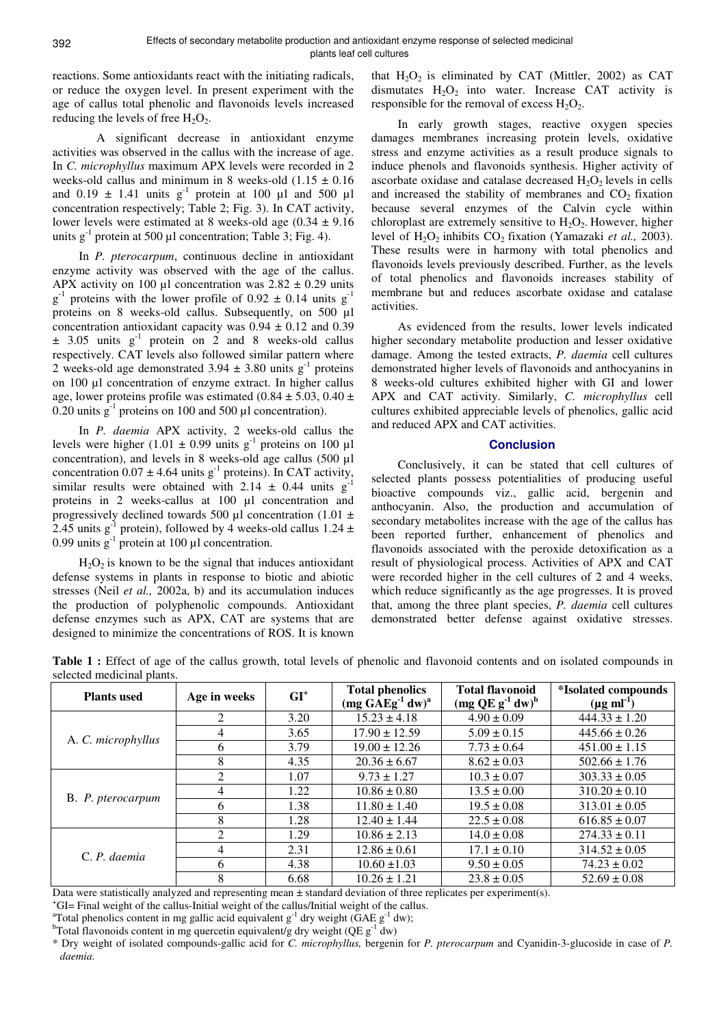reactions. Some antioxidants react with the initiating radicals, or reduce the oxygen level. In present experiment with the age of callus total phenolic and flavonoids levels increased reducing the levels of free  $H_2O_2$ .

 A significant decrease in antioxidant enzyme activities was observed in the callus with the increase of age. In *C. microphyllus* maximum APX levels were recorded in 2 weeks-old callus and minimum in 8 weeks-old  $(1.15 \pm 0.16$ and  $0.19 \pm 1.41$  units g<sup>-1</sup> protein at 100 µl and 500 µl concentration respectively; Table 2; Fig. 3). In CAT activity, lower levels were estimated at 8 weeks-old age  $(0.34 \pm 9.16$ units  $g^{-1}$  protein at 500 µl concentration; Table 3; Fig. 4).

In *P. pterocarpum*, continuous decline in antioxidant enzyme activity was observed with the age of the callus. APX activity on 100  $\mu$ l concentration was 2.82  $\pm$  0.29 units  $g^{-1}$  proteins with the lower profile of 0.92  $\pm$  0.14 units  $g^{-1}$ proteins on 8 weeks-old callus. Subsequently, on 500 µl concentration antioxidant capacity was  $0.94 \pm 0.12$  and  $0.39$  $\pm$  3.05 units g<sup>-1</sup> protein on 2 and 8 weeks-old callus respectively. CAT levels also followed similar pattern where 2 weeks-old age demonstrated  $3.94 \pm 3.80$  units g<sup>-1</sup> proteins on 100 µl concentration of enzyme extract. In higher callus age, lower proteins profile was estimated (0.84  $\pm$  5.03, 0.40  $\pm$ 0.20 units  $g^{-1}$  proteins on 100 and 500 µl concentration).

In *P. daemia* APX activity, 2 weeks-old callus the levels were higher (1.01  $\pm$  0.99 units g<sup>-1</sup> proteins on 100 µl concentration), and levels in 8 weeks-old age callus (500 µl concentration  $0.07 \pm 4.64$  units g<sup>-1</sup> proteins). In CAT activity, similar results were obtained with  $2.14 \pm 0.44$  units g<sup>-1</sup> proteins in 2 weeks-callus at 100 µl concentration and progressively declined towards 500 µl concentration (1.01  $\pm$ 2.45 units  $g^{-1}$  protein), followed by 4 weeks-old callus 1.24  $\pm$ 0.99 units  $g^{-1}$  protein at 100 µl concentration.

 $H_2O_2$  is known to be the signal that induces antioxidant defense systems in plants in response to biotic and abiotic stresses (Neil *et al.,* 2002a, b) and its accumulation induces the production of polyphenolic compounds. Antioxidant defense enzymes such as APX, CAT are systems that are designed to minimize the concentrations of ROS. It is known

that  $H_2O_2$  is eliminated by CAT (Mittler, 2002) as CAT dismutates  $H_2O_2$  into water. Increase CAT activity is responsible for the removal of excess  $H_2O_2$ .

In early growth stages, reactive oxygen species damages membranes increasing protein levels, oxidative stress and enzyme activities as a result produce signals to induce phenols and flavonoids synthesis. Higher activity of ascorbate oxidase and catalase decreased  $H_2O_2$  levels in cells and increased the stability of membranes and  $CO<sub>2</sub>$  fixation because several enzymes of the Calvin cycle within chloroplast are extremely sensitive to  $H_2O_2$ . However, higher level of H<sub>2</sub>O<sub>2</sub> inhibits CO<sub>2</sub> fixation (Yamazaki *et al.*, 2003). These results were in harmony with total phenolics and flavonoids levels previously described. Further, as the levels of total phenolics and flavonoids increases stability of membrane but and reduces ascorbate oxidase and catalase activities.

As evidenced from the results, lower levels indicated higher secondary metabolite production and lesser oxidative damage. Among the tested extracts, *P. daemia* cell cultures demonstrated higher levels of flavonoids and anthocyanins in 8 weeks-old cultures exhibited higher with GI and lower APX and CAT activity. Similarly, *C. microphyllus* cell cultures exhibited appreciable levels of phenolics, gallic acid and reduced APX and CAT activities.

### **Conclusion**

Conclusively, it can be stated that cell cultures of selected plants possess potentialities of producing useful bioactive compounds viz., gallic acid, bergenin and anthocyanin. Also, the production and accumulation of secondary metabolites increase with the age of the callus has been reported further, enhancement of phenolics and flavonoids associated with the peroxide detoxification as a result of physiological process. Activities of APX and CAT were recorded higher in the cell cultures of 2 and 4 weeks, which reduce significantly as the age progresses. It is proved that, among the three plant species, *P. daemia* cell cultures demonstrated better defense against oxidative stresses.

| <b>Plants</b> used | Age in weeks   | $GI^+$ | <b>Total phenolics</b><br>$(mg G A E g^{-1} dw)^a$ | <b>Total flavonoid</b><br>$\left(\text{mg QE g}^{-1} \text{dw}\right)^{\text{b}}$ | <i>*Isolated compounds</i><br>$(\mu g \text{ ml}^{-1})$ |
|--------------------|----------------|--------|----------------------------------------------------|-----------------------------------------------------------------------------------|---------------------------------------------------------|
|                    | 2              | 3.20   | $15.23 \pm 4.18$                                   | $4.90 \pm 0.09$                                                                   | $444.33 \pm 1.20$                                       |
| A. C. microphyllus | 4              | 3.65   | $17.90 \pm 12.59$                                  | $5.09 \pm 0.15$                                                                   | $445.66 \pm 0.26$                                       |
|                    | 6              | 3.79   | $19.00 \pm 12.26$                                  | $7.73 \pm 0.64$                                                                   | $451.00 \pm 1.15$                                       |
|                    | 8              | 4.35   | $20.36 \pm 6.67$                                   | $8.62 \pm 0.03$                                                                   | $502.66 \pm 1.76$                                       |
|                    | 2              | 1.07   | $9.73 \pm 1.27$                                    | $10.3 \pm 0.07$                                                                   | $303.33 \pm 0.05$                                       |
| B. P. pterocarpum  | 4              | 1.22   | $10.86 \pm 0.80$                                   | $13.5 \pm 0.00$                                                                   | $310.20 \pm 0.10$                                       |
|                    | 6              | 1.38   | $11.80 \pm 1.40$                                   | $19.5 \pm 0.08$                                                                   | $313.01 \pm 0.05$                                       |
|                    | 8              | 1.28   | $12.40 \pm 1.44$                                   | $22.5 \pm 0.08$                                                                   | $616.85 \pm 0.07$                                       |
|                    | $\mathfrak{D}$ | 1.29   | $10.86 \pm 2.13$                                   | $14.0 \pm 0.08$                                                                   | $274.33 \pm 0.11$                                       |
| C. P. daemia       | 4              | 2.31   | $12.86 \pm 0.61$                                   | $17.1 \pm 0.10$                                                                   | $314.52 \pm 0.05$                                       |
|                    | 6              | 4.38   | $10.60 \pm 1.03$                                   | $9.50 \pm 0.05$                                                                   | $74.23 \pm 0.02$                                        |
|                    | $\circ$        | 6.60   | $10.26 \pm 1.21$                                   | $22.8 + 0.05$                                                                     | $52.60 + 0.09$                                          |

Table 1 : Effect of age of the callus growth, total levels of phenolic and flavonoid contents and on isolated compounds in selected medicinal plants.

 $\begin{array}{|c|c|c|c|c|c|c|c|c|} \hline 6.68 & 10.26 \pm 1.21 & 23.8 \pm 0.05 & 52.69 \pm 0.08 \hline \end{array}$ Data were statistically analyzed and representing mean ± standard deviation of three replicates per experiment(s).

<sup>+</sup>GI= Final weight of the callus-Initial weight of the callus/Initial weight of the callus.

<sup>a</sup>Total phenolics content in mg gallic acid equivalent  $g^{-1}$  dry weight (GAE  $g^{-1}$  dw);

<sup>b</sup>Total flavonoids content in mg quercetin equivalent/g dry weight (QE  $g^{-1}$  dw)

<sup>\*</sup> Dry weight of isolated compounds-gallic acid for *C. microphyllus,* bergenin for *P. pterocarpum* and Cyanidin-3-glucoside in case of *P. daemia.*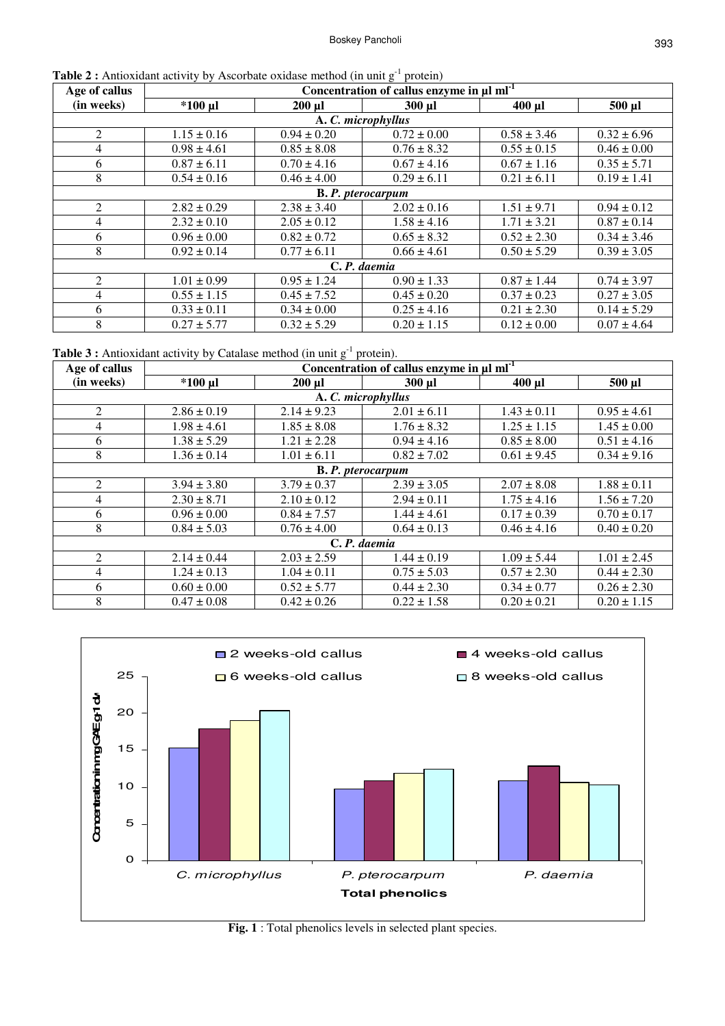| <b>Table 2</b> : Antioxidant activity by Ascorbate oxidase method (in unit $g^{-1}$ protein) |  |
|----------------------------------------------------------------------------------------------|--|
|----------------------------------------------------------------------------------------------|--|

| Age of callus            | Concentration of callus enzyme in µl ml <sup>-1</sup> |                 |                 |                 |                 |  |  |
|--------------------------|-------------------------------------------------------|-----------------|-----------------|-----------------|-----------------|--|--|
| (in weeks)               | $*100$ µl                                             | $200 \mu l$     | $300$ $\mu$     | $400$ µl        | 500 µl          |  |  |
|                          | A. C. microphyllus                                    |                 |                 |                 |                 |  |  |
| $\overline{2}$           | $1.15 \pm 0.16$                                       | $0.94 \pm 0.20$ | $0.72 \pm 0.00$ | $0.58 \pm 3.46$ | $0.32 \pm 6.96$ |  |  |
| 4                        | $0.98 \pm 4.61$                                       | $0.85 \pm 8.08$ | $0.76 \pm 8.32$ | $0.55 \pm 0.15$ | $0.46 \pm 0.00$ |  |  |
| 6                        | $0.87 \pm 6.11$                                       | $0.70 \pm 4.16$ | $0.67 \pm 4.16$ | $0.67 \pm 1.16$ | $0.35 \pm 5.71$ |  |  |
| 8                        | $0.54 \pm 0.16$                                       | $0.46 \pm 4.00$ | $0.29 \pm 6.11$ | $0.21 \pm 6.11$ | $0.19 \pm 1.41$ |  |  |
| <b>B. P.</b> pterocarpum |                                                       |                 |                 |                 |                 |  |  |
| $\overline{2}$           | $2.82 \pm 0.29$                                       | $2.38 \pm 3.40$ | $2.02 \pm 0.16$ | $1.51 \pm 9.71$ | $0.94 \pm 0.12$ |  |  |
| 4                        | $2.32 \pm 0.10$                                       | $2.05 \pm 0.12$ | $1.58 \pm 4.16$ | $1.71 \pm 3.21$ | $0.87 \pm 0.14$ |  |  |
| 6                        | $0.96 \pm 0.00$                                       | $0.82 \pm 0.72$ | $0.65 \pm 8.32$ | $0.52 \pm 2.30$ | $0.34 \pm 3.46$ |  |  |
| 8                        | $0.92 \pm 0.14$                                       | $0.77 \pm 6.11$ | $0.66 \pm 4.61$ | $0.50 \pm 5.29$ | $0.39 \pm 3.05$ |  |  |
| C. P. daemia             |                                                       |                 |                 |                 |                 |  |  |
| 2                        | $1.01 \pm 0.99$                                       | $0.95 \pm 1.24$ | $0.90 \pm 1.33$ | $0.87 \pm 1.44$ | $0.74 \pm 3.97$ |  |  |
| 4                        | $0.55 \pm 1.15$                                       | $0.45 \pm 7.52$ | $0.45 \pm 0.20$ | $0.37 \pm 0.23$ | $0.27 \pm 3.05$ |  |  |
| 6                        | $0.33 \pm 0.11$                                       | $0.34 \pm 0.00$ | $0.25 \pm 4.16$ | $0.21 \pm 2.30$ | $0.14 \pm 5.29$ |  |  |
| 8                        | $0.27 \pm 5.77$                                       | $0.32 \pm 5.29$ | $0.20 \pm 1.15$ | $0.12 \pm 0.00$ | $0.07 \pm 4.64$ |  |  |

**Table 3 :** Antioxidant activity by Catalase method (in unit  $g^{-1}$  protein).

| Age of callus  | Concentration of callus enzyme in $\mu I$ ml <sup>-1</sup> |                 |                 |                 |                 |  |  |
|----------------|------------------------------------------------------------|-----------------|-----------------|-----------------|-----------------|--|--|
| (in weeks)     | $*100$ µl                                                  | $200 \mu l$     | 300 µl          | $400$ µl        | 500 µl          |  |  |
|                | A. C. microphyllus                                         |                 |                 |                 |                 |  |  |
| 2              | $2.86 \pm 0.19$                                            | $2.14 \pm 9.23$ | $2.01 \pm 6.11$ | $1.43 \pm 0.11$ | $0.95 \pm 4.61$ |  |  |
| $\overline{4}$ | $1.98 \pm 4.61$                                            | $1.85 \pm 8.08$ | $1.76 \pm 8.32$ | $1.25 \pm 1.15$ | $1.45 \pm 0.00$ |  |  |
| 6              | $1.38 \pm 5.29$                                            | $1.21 \pm 2.28$ | $0.94 \pm 4.16$ | $0.85 \pm 8.00$ | $0.51 \pm 4.16$ |  |  |
| 8              | $1.36 \pm 0.14$                                            | $1.01 \pm 6.11$ | $0.82 \pm 7.02$ | $0.61 \pm 9.45$ | $0.34 \pm 9.16$ |  |  |
|                | <b>B. P.</b> pterocarpum                                   |                 |                 |                 |                 |  |  |
| $\overline{2}$ | $3.94 \pm 3.80$                                            | $3.79 \pm 0.37$ | $2.39 \pm 3.05$ | $2.07 \pm 8.08$ | $1.88 \pm 0.11$ |  |  |
| $\overline{4}$ | $2.30 \pm 8.71$                                            | $2.10 \pm 0.12$ | $2.94 \pm 0.11$ | $1.75 \pm 4.16$ | $1.56 \pm 7.20$ |  |  |
| 6              | $0.96 \pm 0.00$                                            | $0.84 \pm 7.57$ | $1.44 \pm 4.61$ | $0.17 \pm 0.39$ | $0.70 \pm 0.17$ |  |  |
| 8              | $0.84 \pm 5.03$                                            | $0.76 \pm 4.00$ | $0.64 \pm 0.13$ | $0.46 \pm 4.16$ | $0.40 \pm 0.20$ |  |  |
| C.P. daemia    |                                                            |                 |                 |                 |                 |  |  |
| $\mathfrak{D}$ | $2.14 \pm 0.44$                                            | $2.03 \pm 2.59$ | $1.44 \pm 0.19$ | $1.09 \pm 5.44$ | $1.01 \pm 2.45$ |  |  |
| $\overline{4}$ | $1.24 \pm 0.13$                                            | $1.04 \pm 0.11$ | $0.75 \pm 5.03$ | $0.57 \pm 2.30$ | $0.44 \pm 2.30$ |  |  |
| 6              | $0.60 \pm 0.00$                                            | $0.52 \pm 5.77$ | $0.44 \pm 2.30$ | $0.34 \pm 0.77$ | $0.26 \pm 2.30$ |  |  |
| 8              | $0.47 \pm 0.08$                                            | $0.42 \pm 0.26$ | $0.22 \pm 1.58$ | $0.20 \pm 0.21$ | $0.20 \pm 1.15$ |  |  |



**Fig. 1** : Total phenolics levels in selected plant species.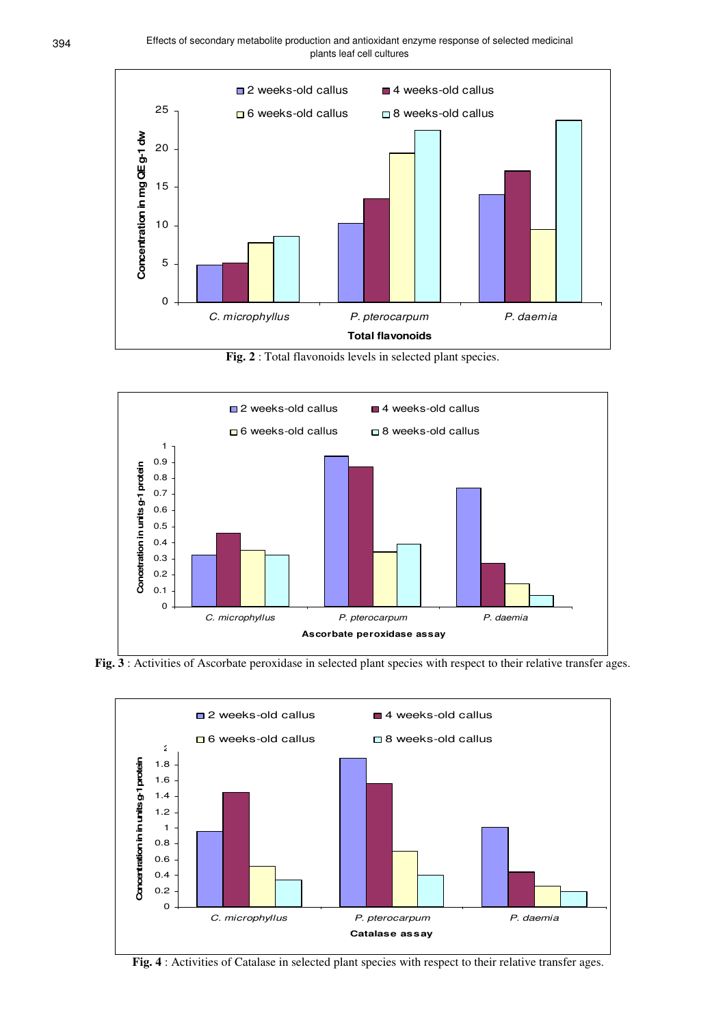

**Fig. 2** : Total flavonoids levels in selected plant species.



**Fig. 3** : Activities of Ascorbate peroxidase in selected plant species with respect to their relative transfer ages.



Fig. 4 : Activities of Catalase in selected plant species with respect to their relative transfer ages.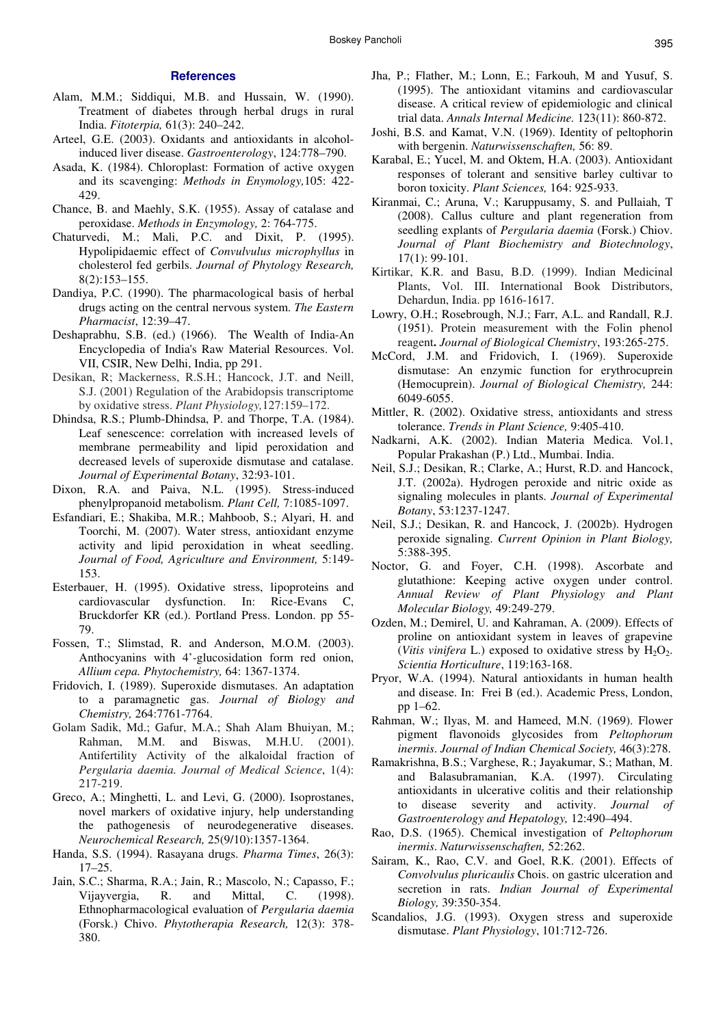## **References**

- Alam, M.M.; Siddiqui, M.B. and Hussain, W. (1990). Treatment of diabetes through herbal drugs in rural India. *Fitoterpia,* 61(3): 240–242.
- Arteel, G.E. (2003). Oxidants and antioxidants in alcoholinduced liver disease. *Gastroenterology*, 124:778–790.
- Asada, K. (1984). Chloroplast: Formation of active oxygen and its scavenging: *Methods in Enymology,*105: 422- 429.
- Chance, B. and Maehly, S.K. (1955). Assay of catalase and peroxidase. *Methods in Enzymology,* 2: 764-775.
- Chaturvedi, M.; Mali, P.C. and Dixit, P. (1995). Hypolipidaemic effect of *Convulvulus microphyllus* in cholesterol fed gerbils. *Journal of Phytology Research,* 8(2):153–155.
- Dandiya, P.C. (1990). The pharmacological basis of herbal drugs acting on the central nervous system. *The Eastern Pharmacist*, 12:39–47.
- Deshaprabhu, S.B. (ed.) (1966). The Wealth of India-An Encyclopedia of India's Raw Material Resources. Vol. VII, CSIR, New Delhi, India, pp 291.
- Desikan, R; Mackerness, R.S.H.; Hancock, J.T. and Neill, S.J. (2001) Regulation of the Arabidopsis transcriptome by oxidative stress. *Plant Physiology,*127:159–172.
- Dhindsa, R.S.; Plumb-Dhindsa, P. and Thorpe, T.A. (1984). Leaf senescence: correlation with increased levels of membrane permeability and lipid peroxidation and decreased levels of superoxide dismutase and catalase. *Journal of Experimental Botany*, 32:93-101.
- Dixon, R.A. and Paiva, N.L. (1995). Stress-induced phenylpropanoid metabolism. *Plant Cell,* 7:1085-1097.
- Esfandiari, E.; Shakiba, M.R.; Mahboob, S.; Alyari, H. and Toorchi, M. (2007). Water stress, antioxidant enzyme activity and lipid peroxidation in wheat seedling. *Journal of Food, Agriculture and Environment,* 5:149- 153.
- Esterbauer, H. (1995). Oxidative stress, lipoproteins and cardiovascular dysfunction. In: Rice-Evans C, Bruckdorfer KR (ed.). Portland Press. London. pp 55- 79.
- Fossen, T.; Slimstad, R. and Anderson, M.O.M. (2003). Anthocyanins with 4'-glucosidation form red onion, *Allium cepa. Phytochemistry,* 64: 1367-1374.
- Fridovich, I. (1989). Superoxide dismutases. An adaptation to a paramagnetic gas. *Journal of Biology and Chemistry,* 264:7761-7764.
- Golam Sadik, Md.; Gafur, M.A.; Shah Alam Bhuiyan, M.; Rahman, M.M. and Biswas, M.H.U. (2001). Antifertility Activity of the alkaloidal fraction of *Pergularia daemia. Journal of Medical Science*, 1(4): 217-219.
- Greco, A.; Minghetti, L. and Levi, G. (2000). Isoprostanes, novel markers of oxidative injury, help understanding the pathogenesis of neurodegenerative diseases. *Neurochemical Research,* 25(9/10):1357-1364.
- Handa, S.S. (1994). Rasayana drugs. *Pharma Times*, 26(3): 17–25.
- Jain, S.C.; Sharma, R.A.; Jain, R.; Mascolo, N.; Capasso, F.; Vijayvergia, R. and Mittal, C. (1998). Ethnopharmacological evaluation of *Pergularia daemia*  (Forsk.) Chivo. *Phytotherapia Research,* 12(3): 378- 380.
- Jha, P.; Flather, M.; Lonn, E.; Farkouh, M and Yusuf, S. (1995). The antioxidant vitamins and cardiovascular disease. A critical review of epidemiologic and clinical trial data. *Annals Internal Medicine.* 123(11): 860-872.
- Joshi, B.S. and Kamat, V.N. (1969). Identity of peltophorin with bergenin. *Naturwissenschaften,* 56: 89.
- Karabal, E.; Yucel, M. and Oktem, H.A. (2003). Antioxidant responses of tolerant and sensitive barley cultivar to boron toxicity. *Plant Sciences,* 164: 925-933.
- Kiranmai, C.; Aruna, V.; Karuppusamy, S. and Pullaiah, T (2008). Callus culture and plant regeneration from seedling explants of *Pergularia daemia* (Forsk.) Chiov. *Journal of Plant Biochemistry and Biotechnology*, 17(1): 99-101.
- Kirtikar, K.R. and Basu, B.D. (1999). Indian Medicinal Plants, Vol. III. International Book Distributors, Dehardun, India. pp 1616-1617.
- Lowry, O.H.; Rosebrough, N.J.; Farr, A.L. and Randall, R.J. (1951). Protein measurement with the Folin phenol reagent**.** *Journal of Biological Chemistry*, 193:265-275.
- McCord, J.M. and Fridovich, I. (1969). Superoxide dismutase: An enzymic function for erythrocuprein (Hemocuprein). *Journal of Biological Chemistry,* 244: 6049-6055.
- Mittler, R. (2002). Oxidative stress, antioxidants and stress tolerance. *Trends in Plant Science,* 9:405-410.
- Nadkarni, A.K. (2002). Indian Materia Medica. Vol.1, Popular Prakashan (P.) Ltd., Mumbai. India.
- Neil, S.J.; Desikan, R.; Clarke, A.; Hurst, R.D. and Hancock, J.T. (2002a). Hydrogen peroxide and nitric oxide as signaling molecules in plants. *Journal of Experimental Botany*, 53:1237-1247.
- Neil, S.J.; Desikan, R. and Hancock, J. (2002b). Hydrogen peroxide signaling. *Current Opinion in Plant Biology,*  5:388-395.
- Noctor, G. and Foyer, C.H. (1998). Ascorbate and glutathione: Keeping active oxygen under control. *Annual Review of Plant Physiology and Plant Molecular Biology,* 49:249-279.
- Ozden, M.; Demirel, U. and Kahraman, A. (2009). Effects of proline on antioxidant system in leaves of grapevine (*Vitis vinifera* L.) exposed to oxidative stress by  $H_2O_2$ . *Scientia Horticulture*, 119:163-168.
- Pryor, W.A. (1994). Natural antioxidants in human health and disease. In: Frei B (ed.). Academic Press, London, pp 1–62.
- Rahman, W.; Ilyas, M. and Hameed, M.N. (1969). Flower pigment flavonoids glycosides from *Peltophorum inermis*. *Journal of Indian Chemical Society,* 46(3):278.
- Ramakrishna, B.S.; Varghese, R.; Jayakumar, S.; Mathan, M. and Balasubramanian, K.A. (1997). Circulating antioxidants in ulcerative colitis and their relationship to disease severity and activity. *Journal of Gastroenterology and Hepatology,* 12:490–494.
- Rao, D.S. (1965). Chemical investigation of *Peltophorum inermis*. *Naturwissenschaften,* 52:262.
- Sairam, K., Rao, C.V. and Goel, R.K. (2001). Effects of *Convolvulus pluricaulis* Chois. on gastric ulceration and secretion in rats. *Indian Journal of Experimental Biology,* 39:350-354.
- Scandalios, J.G. (1993). Oxygen stress and superoxide dismutase. *Plant Physiology*, 101:712-726.